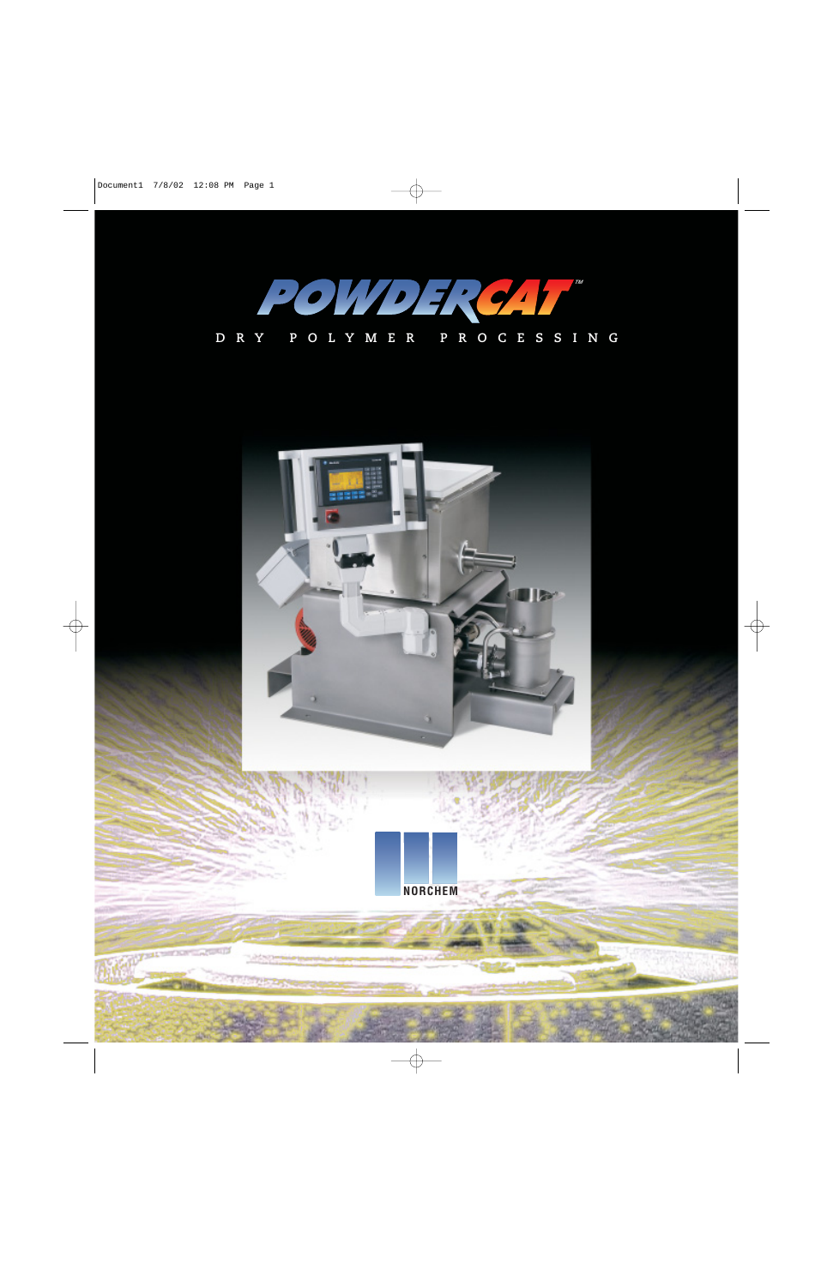

# **DRY POLYMER PROCESSING**

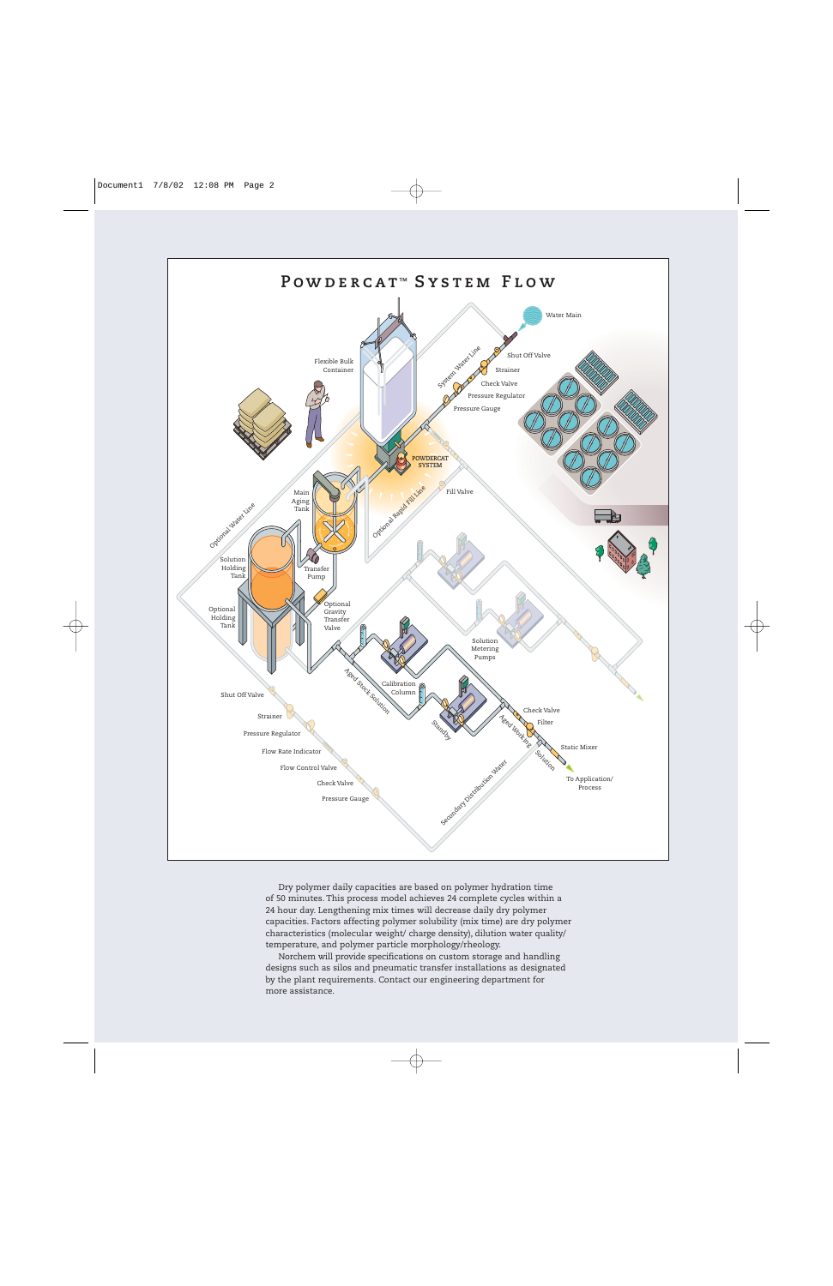

Dry polymer daily capacities are based on polymer hydration time of 50 minutes. This process model achieves 24 complete cycles within a 24 hour day. Lengthening mix times will decrease daily dry polymer capacities. Factors affecting polymer solubility (mix time) are dry polymer characteristics (molecular weight/ charge density), dilution water quality/ temperature, and polymer particle morphology/rheology.

Norchem will provide specifications on custom storage and handling designs such as silos and pneumatic transfer installations as designated by the plant requirements. Contact our engineering department for more assistance.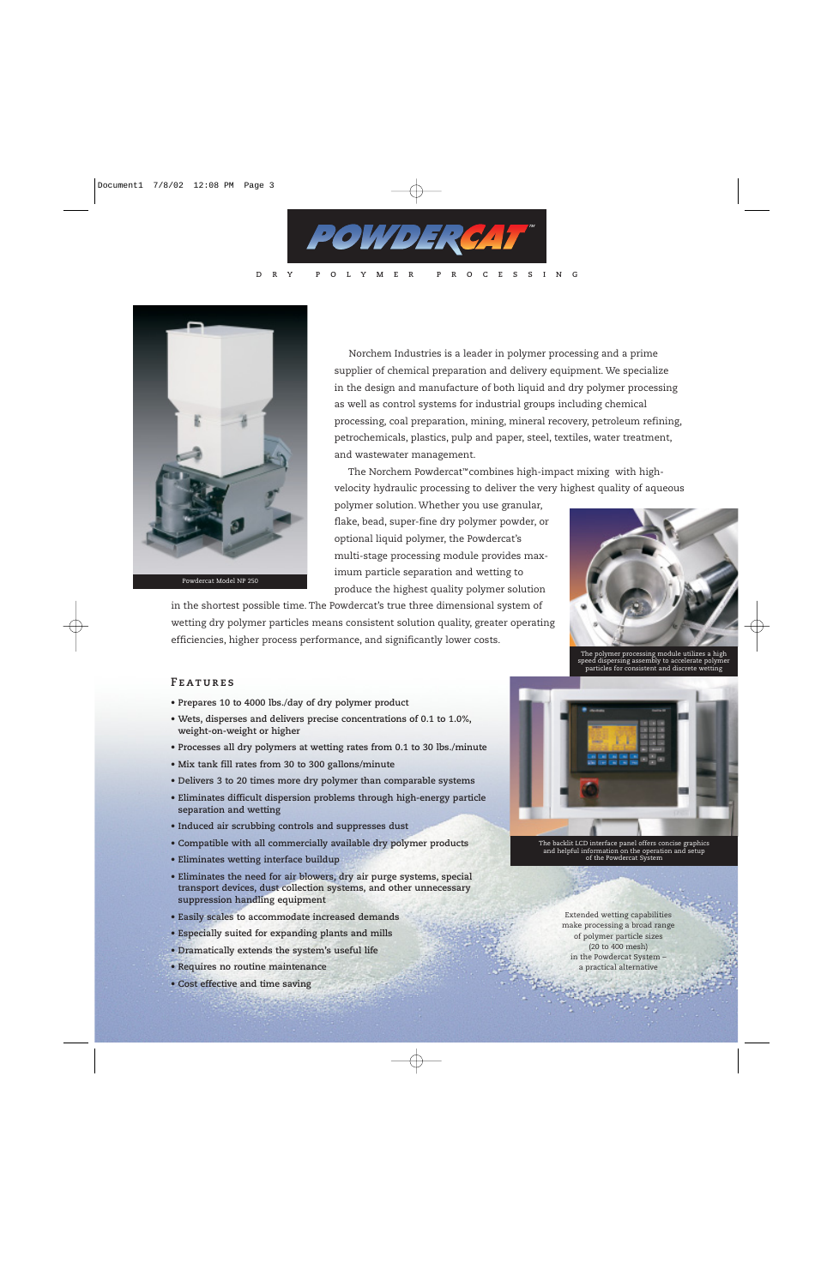

**DRY POLYMER PROCESSING**



Powdercat Model NP 250

Norchem Industries is a leader in polymer processing and a prime supplier of chemical preparation and delivery equipment. We specialize in the design and manufacture of both liquid and dry polymer processing as well as control systems for industrial groups including chemical processing, coal preparation, mining, mineral recovery, petroleum refining, petrochemicals, plastics, pulp and paper, steel, textiles, water treatment, and wastewater management.

The Norchem Powdercat™combines high-impact mixing with highvelocity hydraulic processing to deliver the very highest quality of aqueous

polymer solution. Whether you use granular, flake, bead, super-fine dry polymer powder, or optional liquid polymer, the Powdercat's multi-stage processing module provides maximum particle separation and wetting to produce the highest quality polymer solution





The polymer processing module utilizes a high speed dispersing assembly to accelerate polymer particles for consistent and discrete wetting

#### **Features**

- **• Prepares 10 to 4000 lbs./day of dry polymer product**
- **Wets, disperses and delivers precise concentrations of 0.1 to 1.0%, weight-on-weight or higher**
- **Processes all dry polymers at wetting rates from 0.1 to 30 lbs./minute**
- **• Mix tank fill rates from 30 to 300 gallons/minute**
- **• Delivers 3 to 20 times more dry polymer than comparable systems**
- **• Eliminates difficult dispersion problems through high-energy particle separation and wetting**
- **• Induced air scrubbing controls and suppresses dust**
- **• Compatible with all commercially available dry polymer products**
- **• Eliminates wetting interface buildup**
- **• Eliminates the need for air blowers, dry air purge systems, special transport devices, dust collection systems, and other unnecessary suppression handling equipment**
- **• Easily scales to accommodate increased demands**
- **• Especially suited for expanding plants and mills**
- **Dramatically extends the system's useful life**
- **• Requires no routine maintenance**
- **• Cost effective and time saving**



The backlit LCD interface panel offers concise graphics and helpful information on the operation and setup of the Powdercat System

Extended wetting capabilities make processing a broad range of polymer particle sizes (20 to 400 mesh) in the Powdercat System – a practical alternative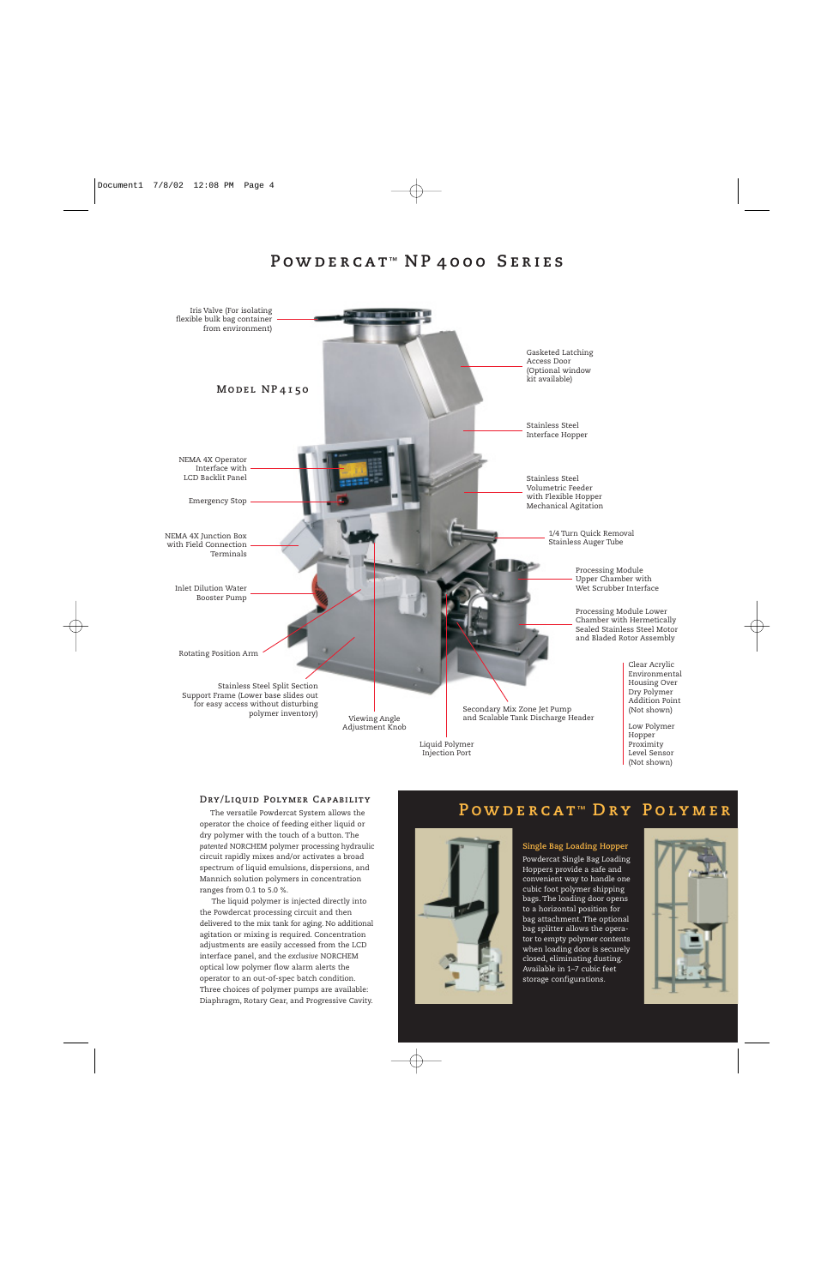# **Powde rcat ™ NP 4000 Series**



Injection Port

Level Sensor (Not shown)

#### **Dry/Liquid Polymer Capability**

The versatile Powdercat System allows the operator the choice of feeding either liquid or dry polymer with the touch of a button. The *patented* NORCHEM polymer processing hydraulic circuit rapidly mixes and/or activates a broad spectrum of liquid emulsions, dispersions, and Mannich solution polymers in concentration ranges from 0.1 to 5.0 %.

The liquid polymer is injected directly into the Powdercat processing circuit and then delivered to the mix tank for aging. No additional agitation or mixing is required. Concentration adjustments are easily accessed from the LCD interface panel, and the *exclusive* NORCHEM optical low polymer flow alarm alerts the operator to an out-of-spec batch condition. Three choices of polymer pumps are available: Diaphragm, Rotary Gear, and Progressive Cavity.

### **Powde rcat ™ Dry Polymer**

**Single Bag Loading Hopper** Powdercat Single Bag Loading Hoppers provide a safe and convenient way to handle one cubic foot polymer shipping bags. The loading door opens to a horizontal position for bag attachment. The optional bag splitter allows the operator to empty polymer contents when loading door is securely closed, eliminating dusting. Available in 1–7 cubic feet storage configurations.

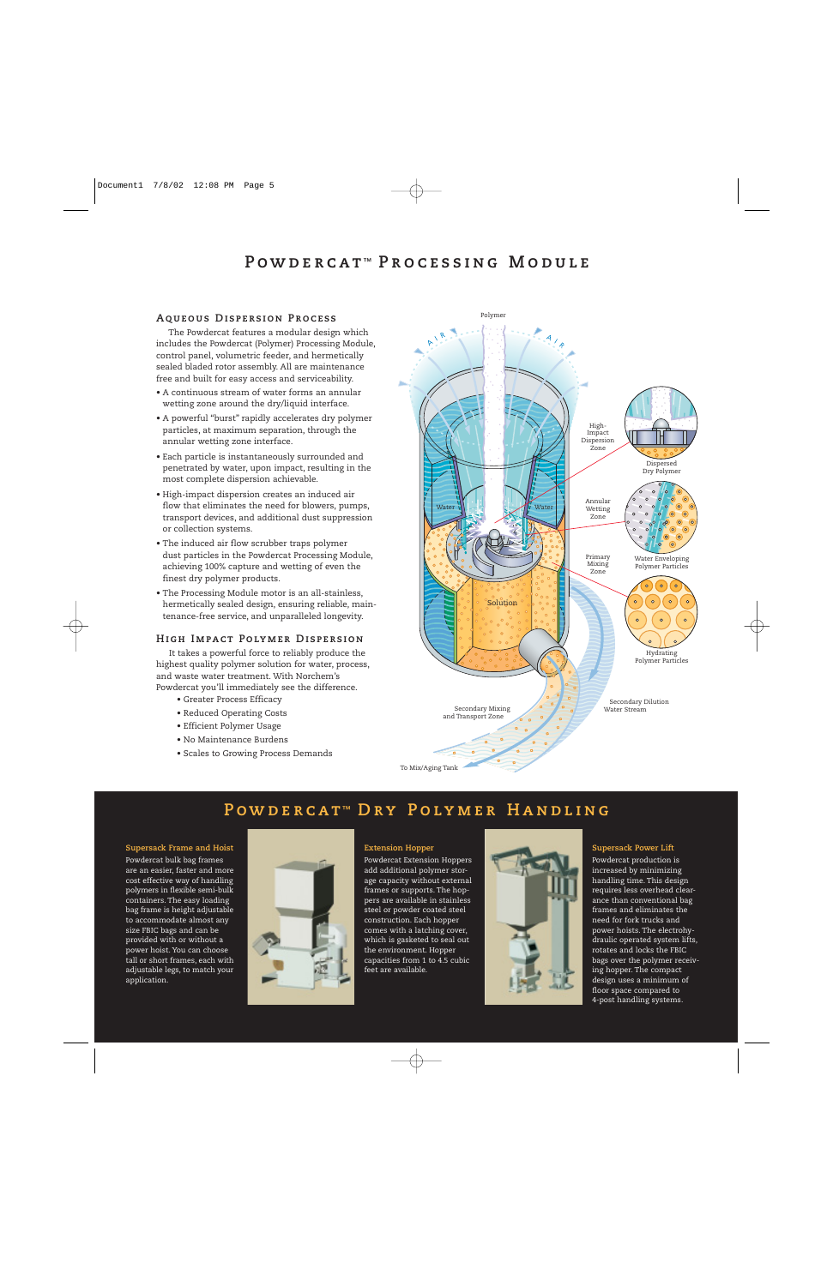## **POWDERCAT™ PROCESSING MODULE**

#### **Aqueous Dispersion Process**

The Powdercat features a modular design which includes the Powdercat (Polymer) Processing Module, control panel, volumetric feeder, and hermetically sealed bladed rotor assembly. All are maintenance free and built for easy access and serviceability.

- A continuous stream of water forms an annular wetting zone around the dry/liquid interface.
- A powerful "burst" rapidly accelerates dry polymer particles, at maximum separation, through the annular wetting zone interface.
- Each particle is instantaneously surrounded and penetrated by water, upon impact, resulting in the most complete dispersion achievable.
- High-impact dispersion creates an induced air flow that eliminates the need for blowers, pumps, transport devices, and additional dust suppression or collection systems.
- The induced air flow scrubber traps polymer dust particles in the Powdercat Processing Module, achieving 100% capture and wetting of even the finest dry polymer products.
- The Processing Module motor is an all-stainless, hermetically sealed design, ensuring reliable, maintenance-free service, and unparalleled longevity.

#### **High Impact Polymer Dispersion**

It takes a powerful force to reliably produce the highest quality polymer solution for water, process, and waste water treatment. With Norchem's Powdercat you'll immediately see the difference.

- Greater Process Efficacy
- Reduced Operating Costs
- Efficient Polymer Usage
- No Maintenance Burdens
- Scales to Growing Process Demands



# **POWDERCAT<sup>™</sup> DRY POLYMER HANDLING**

**Supersack Frame and Hoist**

Powdercat bulk bag frames are an easier, faster and more cost effective way of handling polymers in flexible semi-bulk containers. The easy loading bag frame is height adjustable to accommodate almost any size FBIC bags and can be provided with or without a power hoist. You can choose tall or short frames, each with adjustable legs, to match your application.



#### **Extension Hopper**

Powdercat Extension Hoppers add additional polymer storage capacity without external frames or supports. The hoppers are available in stainless steel or powder coated steel construction. Each hopper comes with a latching cover, which is gasketed to seal out the environment. Hopper capacities from 1 to 4.5 cubic feet are available.



#### **Supersack Power Lift**

Powdercat production is increased by minimizing handling time. This design requires less overhead clearance than conventional bag frames and eliminates the need for fork trucks and power hoists. The electrohydraulic operated system lifts, rotates and locks the FBIC bags over the polymer receiving hopper. The compact design uses a minimum of floor space compared to 4-post handling systems.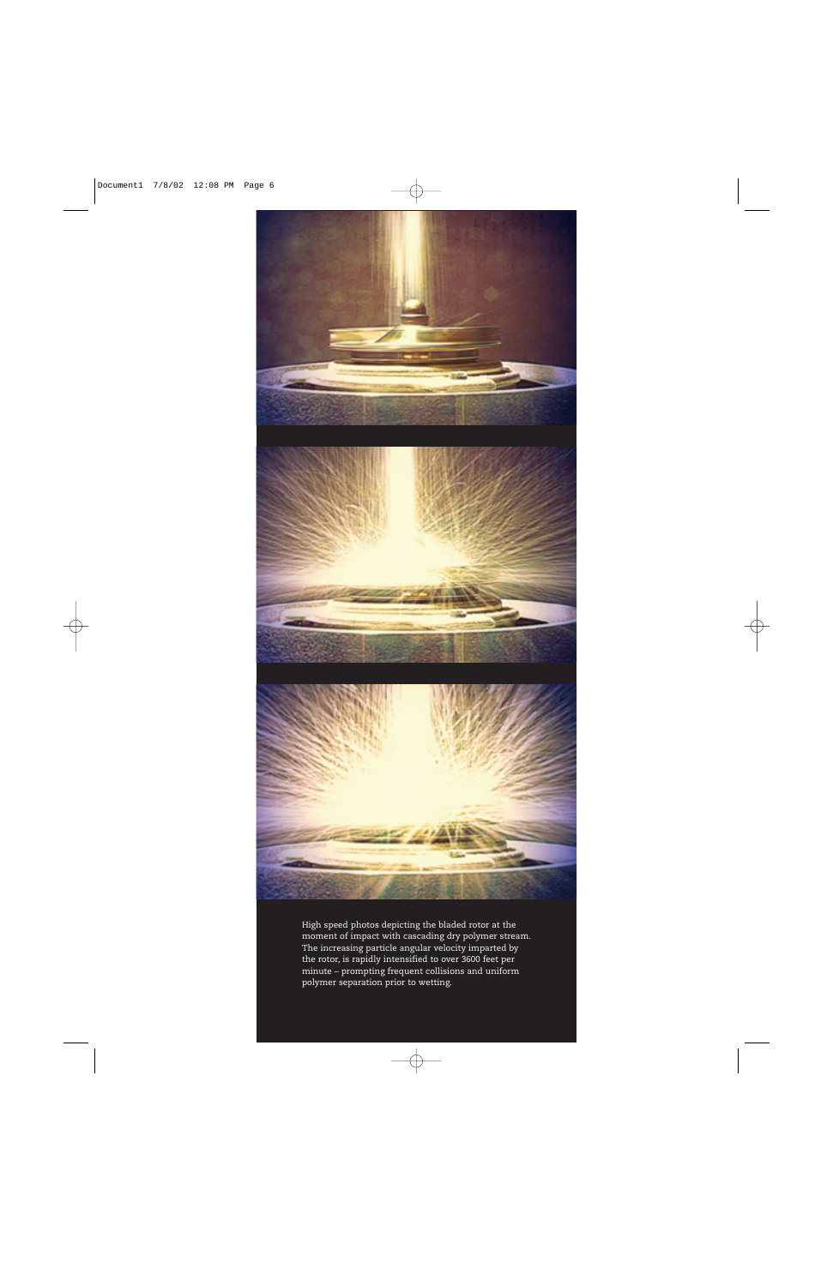

High speed photos depicting the bladed rotor at the moment of impact with cascading dry polymer stream. The increasing particle angular velocity imparted by the rotor, is rapidly intensified to over 3600 feet per minute – prompting frequent collisions and uniform polymer separation prior to wetting.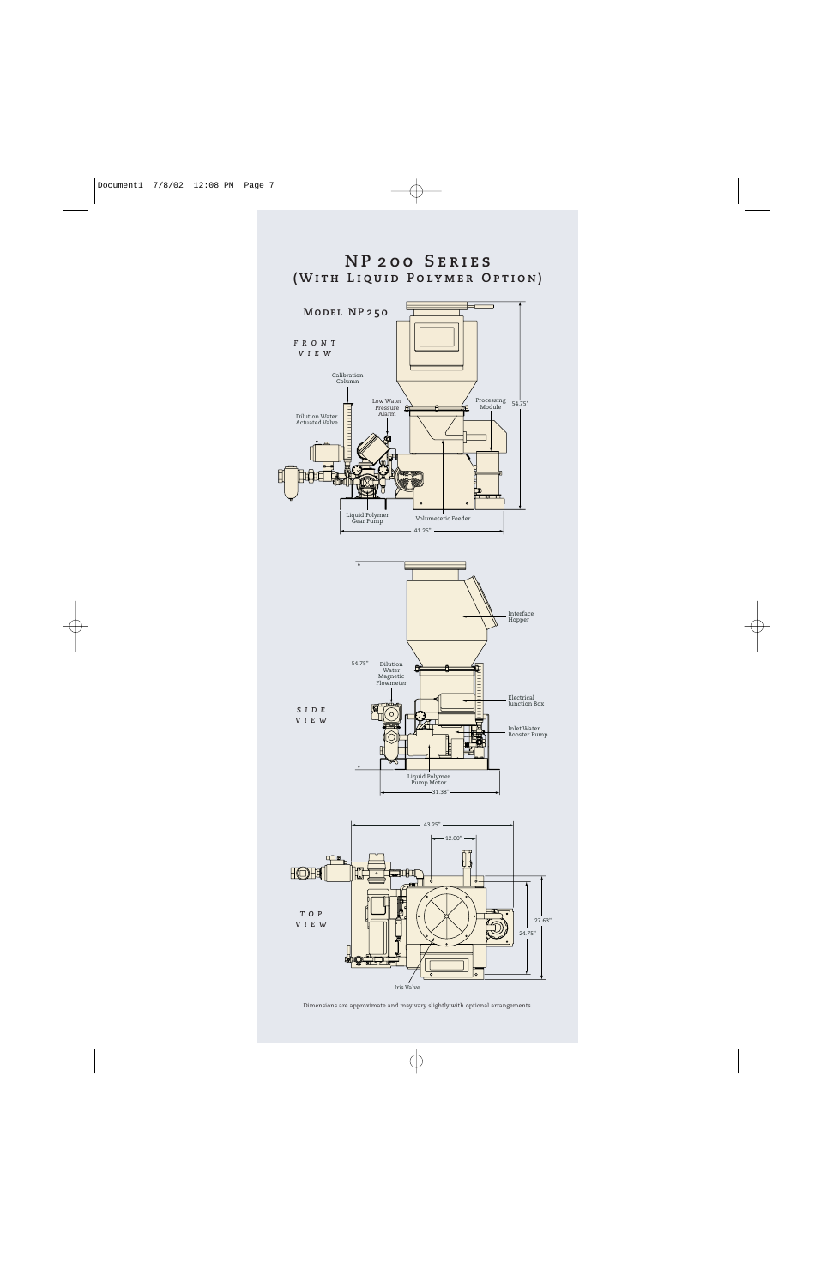